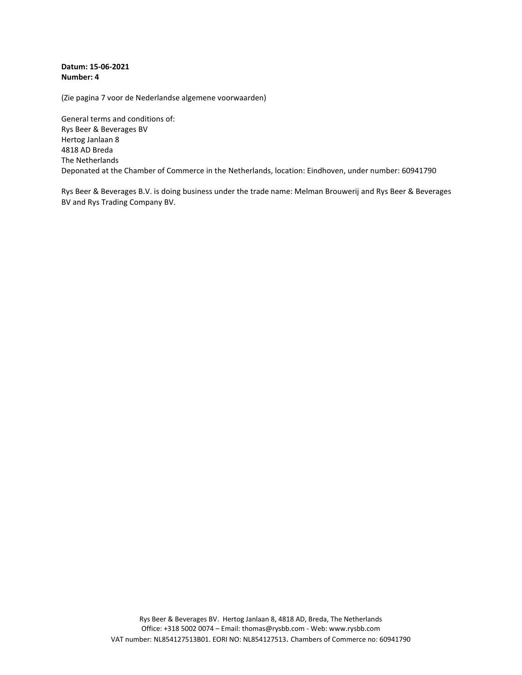**Datum: 15-06-2021 Number: 4**

(Zie pagina 7 voor de Nederlandse algemene voorwaarden)

General terms and conditions of: Rys Beer & Beverages BV Hertog Janlaan 8 4818 AD Breda The Netherlands Deponated at the Chamber of Commerce in the Netherlands, location: Eindhoven, under number: 60941790

Rys Beer & Beverages B.V. is doing business under the trade name: Melman Brouwerij and Rys Beer & Beverages BV and Rys Trading Company BV.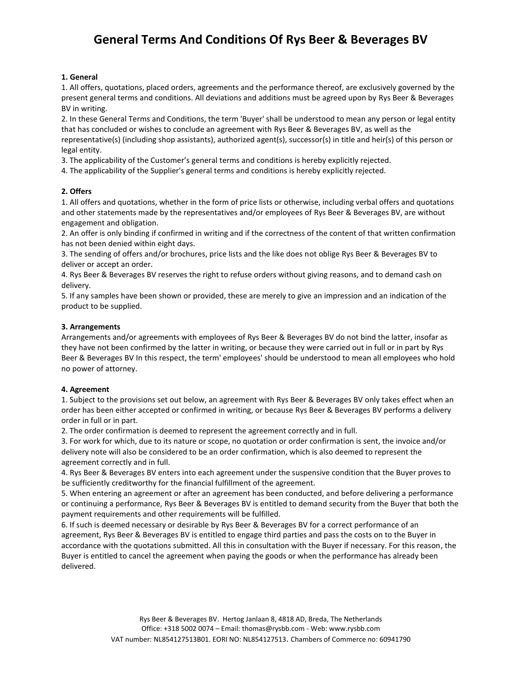## **1. General**

1. All offers, quotations, placed orders, agreements and the performance thereof, are exclusively governed by the present general terms and conditions. All deviations and additions must be agreed upon by Rys Beer & Beverages BV in writing.

2. In these General Terms and Conditions, the term 'Buyer' shall be understood to mean any person or legal entity that has concluded or wishes to conclude an agreement with Rys Beer & Beverages BV, as well as the representative(s) (including shop assistants), authorized agent(s), successor(s) in title and heir(s) of this person or legal entity.

3. The applicability of the Customer's general terms and conditions is hereby explicitly rejected.

4. The applicability of the Supplier's general terms and conditions is hereby explicitly rejected.

## **2. Offers**

1. All offers and quotations, whether in the form of price lists or otherwise, including verbal offers and quotations and other statements made by the representatives and/or employees of Rys Beer & Beverages BV, are without engagement and obligation.

2. An offer is only binding if confirmed in writing and if the correctness of the content of that written confirmation has not been denied within eight days.

3. The sending of offers and/or brochures, price lists and the like does not oblige Rys Beer & Beverages BV to deliver or accept an order.

4. Rys Beer & Beverages BV reserves the right to refuse orders without giving reasons, and to demand cash on delivery.

5. If any samples have been shown or provided, these are merely to give an impression and an indication of the product to be supplied.

## **3. Arrangements**

Arrangements and/or agreements with employees of Rys Beer & Beverages BV do not bind the latter, insofar as they have not been confirmed by the latter in writing, or because they were carried out in full or in part by Rys Beer & Beverages BV In this respect, the term' employees' should be understood to mean all employees who hold no power of attorney.

## **4. Agreement**

1. Subject to the provisions set out below, an agreement with Rys Beer & Beverages BV only takes effect when an order has been either accepted or confirmed in writing, or because Rys Beer & Beverages BV performs a delivery order in full or in part.

2. The order confirmation is deemed to represent the agreement correctly and in full.

3. For work for which, due to its nature or scope, no quotation or order confirmation is sent, the invoice and/or delivery note will also be considered to be an order confirmation, which is also deemed to represent the agreement correctly and in full.

4. Rys Beer & Beverages BV enters into each agreement under the suspensive condition that the Buyer proves to be sufficiently creditworthy for the financial fulfillment of the agreement.

5. When entering an agreement or after an agreement has been conducted, and before delivering a performance or continuing a performance, Rys Beer & Beverages BV is entitled to demand security from the Buyer that both the payment requirements and other requirements will be fulfilled.

6. If such is deemed necessary or desirable by Rys Beer & Beverages BV for a correct performance of an agreement, Rys Beer & Beverages BV is entitled to engage third parties and pass the costs on to the Buyer in accordance with the quotations submitted. All this in consultation with the Buyer if necessary. For this reason, the Buyer is entitled to cancel the agreement when paying the goods or when the performance has already been delivered.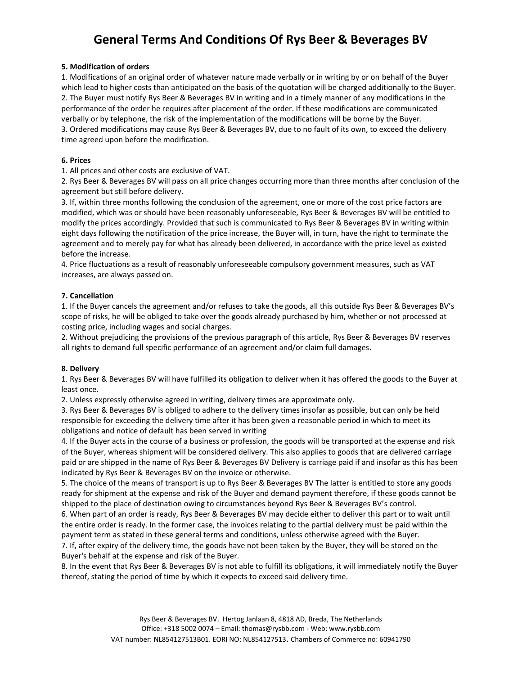## **5. Modification of orders**

1. Modifications of an original order of whatever nature made verbally or in writing by or on behalf of the Buyer which lead to higher costs than anticipated on the basis of the quotation will be charged additionally to the Buyer. 2. The Buyer must notify Rys Beer & Beverages BV in writing and in a timely manner of any modifications in the performance of the order he requires after placement of the order. If these modifications are communicated verbally or by telephone, the risk of the implementation of the modifications will be borne by the Buyer. 3. Ordered modifications may cause Rys Beer & Beverages BV, due to no fault of its own, to exceed the delivery time agreed upon before the modification.

### **6. Prices**

1. All prices and other costs are exclusive of VAT.

2. Rys Beer & Beverages BV will pass on all price changes occurring more than three months after conclusion of the agreement but still before delivery.

3. If, within three months following the conclusion of the agreement, one or more of the cost price factors are modified, which was or should have been reasonably unforeseeable, Rys Beer & Beverages BV will be entitled to modify the prices accordingly. Provided that such is communicated to Rys Beer & Beverages BV in writing within eight days following the notification of the price increase, the Buyer will, in turn, have the right to terminate the agreement and to merely pay for what has already been delivered, in accordance with the price level as existed before the increase.

4. Price fluctuations as a result of reasonably unforeseeable compulsory government measures, such as VAT increases, are always passed on.

### **7. Cancellation**

1. If the Buyer cancels the agreement and/or refuses to take the goods, all this outside Rys Beer & Beverages BV's scope of risks, he will be obliged to take over the goods already purchased by him, whether or not processed at costing price, including wages and social charges.

2. Without prejudicing the provisions of the previous paragraph of this article, Rys Beer & Beverages BV reserves all rights to demand full specific performance of an agreement and/or claim full damages.

#### **8. Delivery**

1. Rys Beer & Beverages BV will have fulfilled its obligation to deliver when it has offered the goods to the Buyer at least once.

2. Unless expressly otherwise agreed in writing, delivery times are approximate only.

3. Rys Beer & Beverages BV is obliged to adhere to the delivery times insofar as possible, but can only be held responsible for exceeding the delivery time after it has been given a reasonable period in which to meet its obligations and notice of default has been served in writing

4. If the Buyer acts in the course of a business or profession, the goods will be transported at the expense and risk of the Buyer, whereas shipment will be considered delivery. This also applies to goods that are delivered carriage paid or are shipped in the name of Rys Beer & Beverages BV Delivery is carriage paid if and insofar as this has been indicated by Rys Beer & Beverages BV on the invoice or otherwise.

5. The choice of the means of transport is up to Rys Beer & Beverages BV The latter is entitled to store any goods ready for shipment at the expense and risk of the Buyer and demand payment therefore, if these goods cannot be shipped to the place of destination owing to circumstances beyond Rys Beer & Beverages BV's control.

6. When part of an order is ready, Rys Beer & Beverages BV may decide either to deliver this part or to wait until the entire order is ready. In the former case, the invoices relating to the partial delivery must be paid within the payment term as stated in these general terms and conditions, unless otherwise agreed with the Buyer.

7. If, after expiry of the delivery time, the goods have not been taken by the Buyer, they will be stored on the Buyer's behalf at the expense and risk of the Buyer.

8. In the event that Rys Beer & Beverages BV is not able to fulfill its obligations, it will immediately notify the Buyer thereof, stating the period of time by which it expects to exceed said delivery time.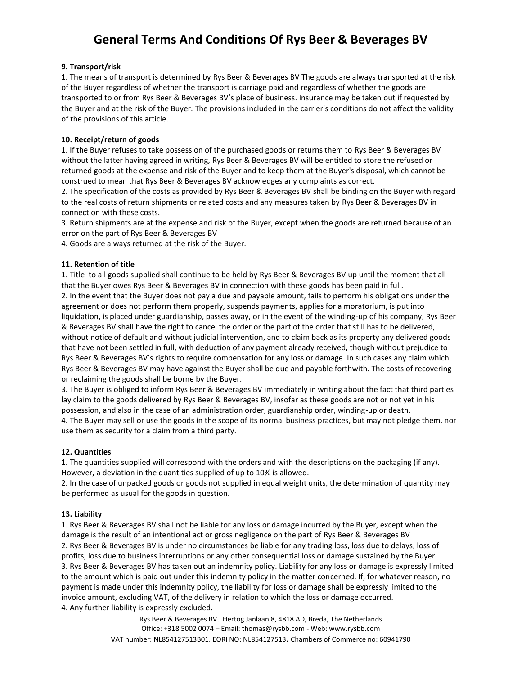## **9. Transport/risk**

1. The means of transport is determined by Rys Beer & Beverages BV The goods are always transported at the risk of the Buyer regardless of whether the transport is carriage paid and regardless of whether the goods are transported to or from Rys Beer & Beverages BV's place of business. Insurance may be taken out if requested by the Buyer and at the risk of the Buyer. The provisions included in the carrier's conditions do not affect the validity of the provisions of this article.

## **10. Receipt/return of goods**

1. If the Buyer refuses to take possession of the purchased goods or returns them to Rys Beer & Beverages BV without the latter having agreed in writing, Rys Beer & Beverages BV will be entitled to store the refused or returned goods at the expense and risk of the Buyer and to keep them at the Buyer's disposal, which cannot be construed to mean that Rys Beer & Beverages BV acknowledges any complaints as correct.

2. The specification of the costs as provided by Rys Beer & Beverages BV shall be binding on the Buyer with regard to the real costs of return shipments or related costs and any measures taken by Rys Beer & Beverages BV in connection with these costs.

3. Return shipments are at the expense and risk of the Buyer, except when the goods are returned because of an error on the part of Rys Beer & Beverages BV

4. Goods are always returned at the risk of the Buyer.

### **11. Retention of title**

1. Title to all goods supplied shall continue to be held by Rys Beer & Beverages BV up until the moment that all that the Buyer owes Rys Beer & Beverages BV in connection with these goods has been paid in full. 2. In the event that the Buyer does not pay a due and payable amount, fails to perform his obligations under the agreement or does not perform them properly, suspends payments, applies for a moratorium, is put into liquidation, is placed under guardianship, passes away, or in the event of the winding-up of his company, Rys Beer & Beverages BV shall have the right to cancel the order or the part of the order that still has to be delivered, without notice of default and without judicial intervention, and to claim back as its property any delivered goods that have not been settled in full, with deduction of any payment already received, though without prejudice to Rys Beer & Beverages BV's rights to require compensation for any loss or damage. In such cases any claim which Rys Beer & Beverages BV may have against the Buyer shall be due and payable forthwith. The costs of recovering or reclaiming the goods shall be borne by the Buyer.

3. The Buyer is obliged to inform Rys Beer & Beverages BV immediately in writing about the fact that third parties lay claim to the goods delivered by Rys Beer & Beverages BV, insofar as these goods are not or not yet in his possession, and also in the case of an administration order, guardianship order, winding-up or death. 4. The Buyer may sell or use the goods in the scope of its normal business practices, but may not pledge them, nor

use them as security for a claim from a third party.

## **12. Quantities**

1. The quantities supplied will correspond with the orders and with the descriptions on the packaging (if any). However, a deviation in the quantities supplied of up to 10% is allowed.

2. In the case of unpacked goods or goods not supplied in equal weight units, the determination of quantity may be performed as usual for the goods in question.

#### **13. Liability**

1. Rys Beer & Beverages BV shall not be liable for any loss or damage incurred by the Buyer, except when the damage is the result of an intentional act or gross negligence on the part of Rys Beer & Beverages BV 2. Rys Beer & Beverages BV is under no circumstances be liable for any trading loss, loss due to delays, loss of profits, loss due to business interruptions or any other consequential loss or damage sustained by the Buyer. 3. Rys Beer & Beverages BV has taken out an indemnity policy. Liability for any loss or damage is expressly limited to the amount which is paid out under this indemnity policy in the matter concerned. If, for whatever reason, no payment is made under this indemnity policy, the liability for loss or damage shall be expressly limited to the invoice amount, excluding VAT, of the delivery in relation to which the loss or damage occurred. 4. Any further liability is expressly excluded.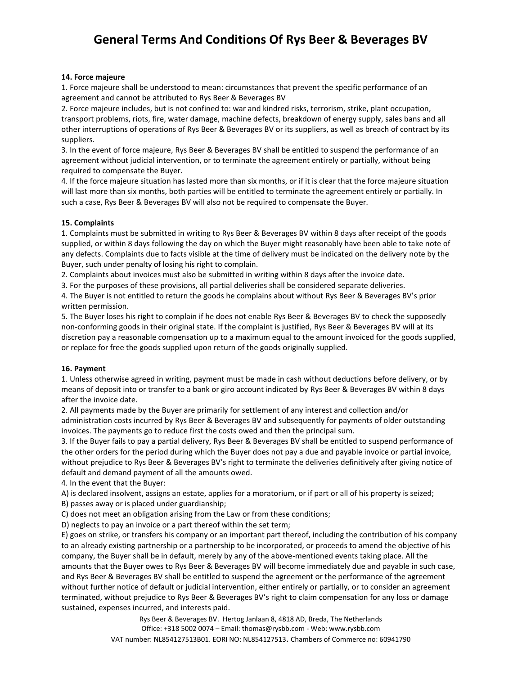### **14. Force majeure**

1. Force majeure shall be understood to mean: circumstances that prevent the specific performance of an agreement and cannot be attributed to Rys Beer & Beverages BV

2. Force majeure includes, but is not confined to: war and kindred risks, terrorism, strike, plant occupation, transport problems, riots, fire, water damage, machine defects, breakdown of energy supply, sales bans and all other interruptions of operations of Rys Beer & Beverages BV or its suppliers, as well as breach of contract by its suppliers.

3. In the event of force majeure, Rys Beer & Beverages BV shall be entitled to suspend the performance of an agreement without judicial intervention, or to terminate the agreement entirely or partially, without being required to compensate the Buyer.

4. If the force majeure situation has lasted more than six months, or if it is clear that the force majeure situation will last more than six months, both parties will be entitled to terminate the agreement entirely or partially. In such a case, Rys Beer & Beverages BV will also not be required to compensate the Buyer.

### **15. Complaints**

1. Complaints must be submitted in writing to Rys Beer & Beverages BV within 8 days after receipt of the goods supplied, or within 8 days following the day on which the Buyer might reasonably have been able to take note of any defects. Complaints due to facts visible at the time of delivery must be indicated on the delivery note by the Buyer, such under penalty of losing his right to complain.

2. Complaints about invoices must also be submitted in writing within 8 days after the invoice date.

3. For the purposes of these provisions, all partial deliveries shall be considered separate deliveries.

4. The Buyer is not entitled to return the goods he complains about without Rys Beer & Beverages BV's prior written permission.

5. The Buyer loses his right to complain if he does not enable Rys Beer & Beverages BV to check the supposedly non-conforming goods in their original state. If the complaint is justified, Rys Beer & Beverages BV will at its discretion pay a reasonable compensation up to a maximum equal to the amount invoiced for the goods supplied, or replace for free the goods supplied upon return of the goods originally supplied.

## **16. Payment**

1. Unless otherwise agreed in writing, payment must be made in cash without deductions before delivery, or by means of deposit into or transfer to a bank or giro account indicated by Rys Beer & Beverages BV within 8 days after the invoice date.

2. All payments made by the Buyer are primarily for settlement of any interest and collection and/or administration costs incurred by Rys Beer & Beverages BV and subsequently for payments of older outstanding invoices. The payments go to reduce first the costs owed and then the principal sum.

3. If the Buyer fails to pay a partial delivery, Rys Beer & Beverages BV shall be entitled to suspend performance of the other orders for the period during which the Buyer does not pay a due and payable invoice or partial invoice, without prejudice to Rys Beer & Beverages BV's right to terminate the deliveries definitively after giving notice of default and demand payment of all the amounts owed.

4. In the event that the Buyer:

A) is declared insolvent, assigns an estate, applies for a moratorium, or if part or all of his property is seized; B) passes away or is placed under guardianship;

C) does not meet an obligation arising from the Law or from these conditions;

D) neglects to pay an invoice or a part thereof within the set term;

E) goes on strike, or transfers his company or an important part thereof, including the contribution of his company to an already existing partnership or a partnership to be incorporated, or proceeds to amend the objective of his company, the Buyer shall be in default, merely by any of the above-mentioned events taking place. All the amounts that the Buyer owes to Rys Beer & Beverages BV will become immediately due and payable in such case, and Rys Beer & Beverages BV shall be entitled to suspend the agreement or the performance of the agreement without further notice of default or judicial intervention, either entirely or partially, or to consider an agreement terminated, without prejudice to Rys Beer & Beverages BV's right to claim compensation for any loss or damage sustained, expenses incurred, and interests paid.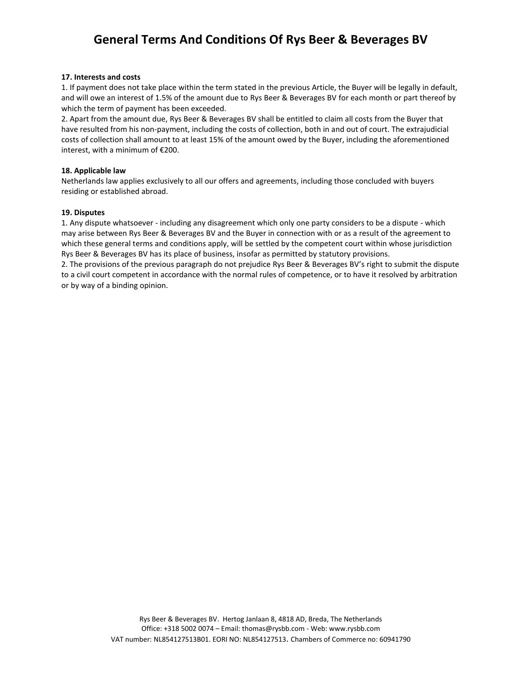### **17. Interests and costs**

1. If payment does not take place within the term stated in the previous Article, the Buyer will be legally in default, and will owe an interest of 1.5% of the amount due to Rys Beer & Beverages BV for each month or part thereof by which the term of payment has been exceeded.

2. Apart from the amount due, Rys Beer & Beverages BV shall be entitled to claim all costs from the Buyer that have resulted from his non-payment, including the costs of collection, both in and out of court. The extrajudicial costs of collection shall amount to at least 15% of the amount owed by the Buyer, including the aforementioned interest, with a minimum of €200.

### **18. Applicable law**

Netherlands law applies exclusively to all our offers and agreements, including those concluded with buyers residing or established abroad.

### **19. Disputes**

1. Any dispute whatsoever - including any disagreement which only one party considers to be a dispute - which may arise between Rys Beer & Beverages BV and the Buyer in connection with or as a result of the agreement to which these general terms and conditions apply, will be settled by the competent court within whose jurisdiction Rys Beer & Beverages BV has its place of business, insofar as permitted by statutory provisions.

2. The provisions of the previous paragraph do not prejudice Rys Beer & Beverages BV's right to submit the dispute to a civil court competent in accordance with the normal rules of competence, or to have it resolved by arbitration or by way of a binding opinion.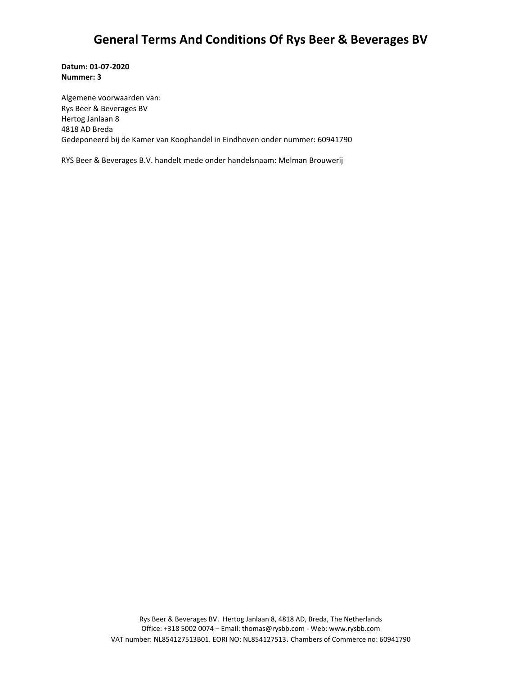**Datum: 01-07-2020 Nummer: 3**

Algemene voorwaarden van: Rys Beer & Beverages BV Hertog Janlaan 8 4818 AD Breda Gedeponeerd bij de Kamer van Koophandel in Eindhoven onder nummer: 60941790

RYS Beer & Beverages B.V. handelt mede onder handelsnaam: Melman Brouwerij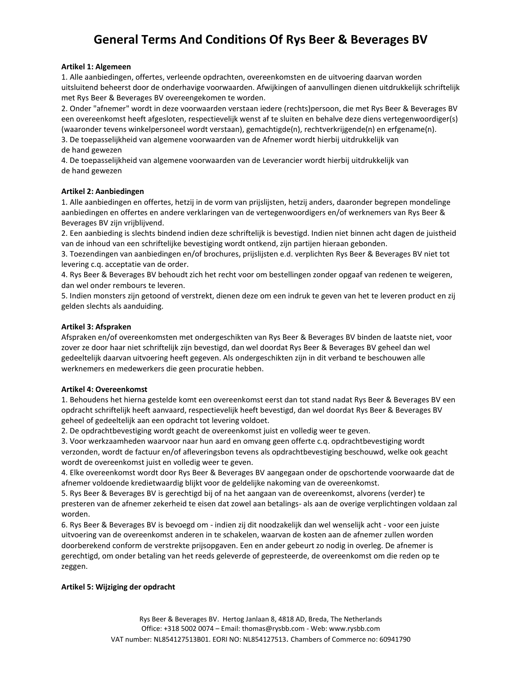### **Artikel 1: Algemeen**

1. Alle aanbiedingen, offertes, verleende opdrachten, overeenkomsten en de uitvoering daarvan worden uitsluitend beheerst door de onderhavige voorwaarden. Afwijkingen of aanvullingen dienen uitdrukkelijk schriftelijk met Rys Beer & Beverages BV overeengekomen te worden.

2. Onder "afnemer" wordt in deze voorwaarden verstaan iedere (rechts)persoon, die met Rys Beer & Beverages BV een overeenkomst heeft afgesloten, respectievelijk wenst af te sluiten en behalve deze diens vertegenwoordiger(s) (waaronder tevens winkelpersoneel wordt verstaan), gemachtigde(n), rechtverkrijgende(n) en erfgename(n).

3. De toepasselijkheid van algemene voorwaarden van de Afnemer wordt hierbij uitdrukkelijk van de hand gewezen

4. De toepasselijkheid van algemene voorwaarden van de Leverancier wordt hierbij uitdrukkelijk van de hand gewezen

### **Artikel 2: Aanbiedingen**

1. Alle aanbiedingen en offertes, hetzij in de vorm van prijslijsten, hetzij anders, daaronder begrepen mondelinge aanbiedingen en offertes en andere verklaringen van de vertegenwoordigers en/of werknemers van Rys Beer & Beverages BV zijn vrijblijvend.

2. Een aanbieding is slechts bindend indien deze schriftelijk is bevestigd. Indien niet binnen acht dagen de juistheid van de inhoud van een schriftelijke bevestiging wordt ontkend, zijn partijen hieraan gebonden.

3. Toezendingen van aanbiedingen en/of brochures, prijslijsten e.d. verplichten Rys Beer & Beverages BV niet tot levering c.q. acceptatie van de order.

4. Rys Beer & Beverages BV behoudt zich het recht voor om bestellingen zonder opgaaf van redenen te weigeren, dan wel onder rembours te leveren.

5. Indien monsters zijn getoond of verstrekt, dienen deze om een indruk te geven van het te leveren product en zij gelden slechts als aanduiding.

### **Artikel 3: Afspraken**

Afspraken en/of overeenkomsten met ondergeschikten van Rys Beer & Beverages BV binden de laatste niet, voor zover ze door haar niet schriftelijk zijn bevestigd, dan wel doordat Rys Beer & Beverages BV geheel dan wel gedeeltelijk daarvan uitvoering heeft gegeven. Als ondergeschikten zijn in dit verband te beschouwen alle werknemers en medewerkers die geen procuratie hebben.

#### **Artikel 4: Overeenkomst**

1. Behoudens het hierna gestelde komt een overeenkomst eerst dan tot stand nadat Rys Beer & Beverages BV een opdracht schriftelijk heeft aanvaard, respectievelijk heeft bevestigd, dan wel doordat Rys Beer & Beverages BV geheel of gedeeltelijk aan een opdracht tot levering voldoet.

2. De opdrachtbevestiging wordt geacht de overeenkomst juist en volledig weer te geven.

3. Voor werkzaamheden waarvoor naar hun aard en omvang geen offerte c.q. opdrachtbevestiging wordt verzonden, wordt de factuur en/of afleveringsbon tevens als opdrachtbevestiging beschouwd, welke ook geacht wordt de overeenkomst juist en volledig weer te geven.

4. Elke overeenkomst wordt door Rys Beer & Beverages BV aangegaan onder de opschortende voorwaarde dat de afnemer voldoende kredietwaardig blijkt voor de geldelijke nakoming van de overeenkomst.

5. Rys Beer & Beverages BV is gerechtigd bij of na het aangaan van de overeenkomst, alvorens (verder) te presteren van de afnemer zekerheid te eisen dat zowel aan betalings- als aan de overige verplichtingen voldaan zal worden.

6. Rys Beer & Beverages BV is bevoegd om - indien zij dit noodzakelijk dan wel wenselijk acht - voor een juiste uitvoering van de overeenkomst anderen in te schakelen, waarvan de kosten aan de afnemer zullen worden doorberekend conform de verstrekte prijsopgaven. Een en ander gebeurt zo nodig in overleg. De afnemer is gerechtigd, om onder betaling van het reeds geleverde of gepresteerde, de overeenkomst om die reden op te zeggen.

## **Artikel 5: Wijziging der opdracht**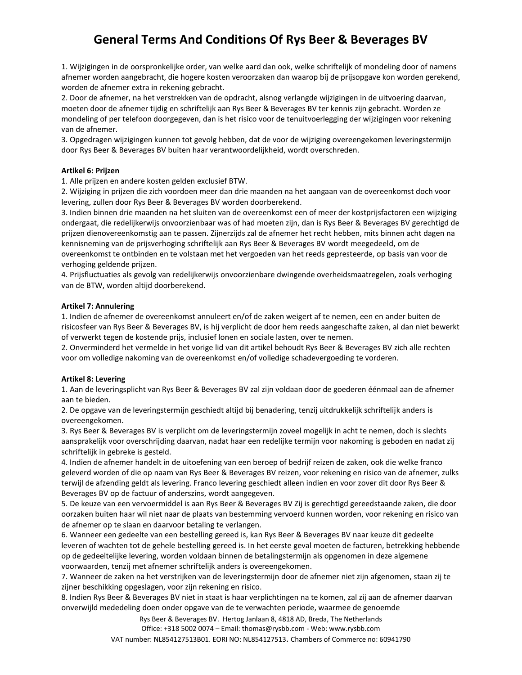1. Wijzigingen in de oorspronkelijke order, van welke aard dan ook, welke schriftelijk of mondeling door of namens afnemer worden aangebracht, die hogere kosten veroorzaken dan waarop bij de prijsopgave kon worden gerekend, worden de afnemer extra in rekening gebracht.

2. Door de afnemer, na het verstrekken van de opdracht, alsnog verlangde wijzigingen in de uitvoering daarvan, moeten door de afnemer tijdig en schriftelijk aan Rys Beer & Beverages BV ter kennis zijn gebracht. Worden ze mondeling of per telefoon doorgegeven, dan is het risico voor de tenuitvoerlegging der wijzigingen voor rekening van de afnemer.

3. Opgedragen wijzigingen kunnen tot gevolg hebben, dat de voor de wijziging overeengekomen leveringstermijn door Rys Beer & Beverages BV buiten haar verantwoordelijkheid, wordt overschreden.

### **Artikel 6: Prijzen**

1. Alle prijzen en andere kosten gelden exclusief BTW.

2. Wijziging in prijzen die zich voordoen meer dan drie maanden na het aangaan van de overeenkomst doch voor levering, zullen door Rys Beer & Beverages BV worden doorberekend.

3. Indien binnen drie maanden na het sluiten van de overeenkomst een of meer der kostprijsfactoren een wijziging ondergaat, die redelijkerwijs onvoorzienbaar was of had moeten zijn, dan is Rys Beer & Beverages BV gerechtigd de prijzen dienovereenkomstig aan te passen. Zijnerzijds zal de afnemer het recht hebben, mits binnen acht dagen na kennisneming van de prijsverhoging schriftelijk aan Rys Beer & Beverages BV wordt meegedeeld, om de overeenkomst te ontbinden en te volstaan met het vergoeden van het reeds gepresteerde, op basis van voor de verhoging geldende prijzen.

4. Prijsfluctuaties als gevolg van redelijkerwijs onvoorzienbare dwingende overheidsmaatregelen, zoals verhoging van de BTW, worden altijd doorberekend.

#### **Artikel 7: Annulering**

1. Indien de afnemer de overeenkomst annuleert en/of de zaken weigert af te nemen, een en ander buiten de risicosfeer van Rys Beer & Beverages BV, is hij verplicht de door hem reeds aangeschafte zaken, al dan niet bewerkt of verwerkt tegen de kostende prijs, inclusief lonen en sociale lasten, over te nemen.

2. Onverminderd het vermelde in het vorige lid van dit artikel behoudt Rys Beer & Beverages BV zich alle rechten voor om volledige nakoming van de overeenkomst en/of volledige schadevergoeding te vorderen.

## **Artikel 8: Levering**

1. Aan de leveringsplicht van Rys Beer & Beverages BV zal zijn voldaan door de goederen éénmaal aan de afnemer aan te bieden.

2. De opgave van de leveringstermijn geschiedt altijd bij benadering, tenzij uitdrukkelijk schriftelijk anders is overeengekomen.

3. Rys Beer & Beverages BV is verplicht om de leveringstermijn zoveel mogelijk in acht te nemen, doch is slechts aansprakelijk voor overschrijding daarvan, nadat haar een redelijke termijn voor nakoming is geboden en nadat zij schriftelijk in gebreke is gesteld.

4. Indien de afnemer handelt in de uitoefening van een beroep of bedrijf reizen de zaken, ook die welke franco geleverd worden of die op naam van Rys Beer & Beverages BV reizen, voor rekening en risico van de afnemer, zulks terwijl de afzending geldt als levering. Franco levering geschiedt alleen indien en voor zover dit door Rys Beer & Beverages BV op de factuur of anderszins, wordt aangegeven.

5. De keuze van een vervoermiddel is aan Rys Beer & Beverages BV Zij is gerechtigd gereedstaande zaken, die door oorzaken buiten haar wil niet naar de plaats van bestemming vervoerd kunnen worden, voor rekening en risico van de afnemer op te slaan en daarvoor betaling te verlangen.

6. Wanneer een gedeelte van een bestelling gereed is, kan Rys Beer & Beverages BV naar keuze dit gedeelte leveren of wachten tot de gehele bestelling gereed is. In het eerste geval moeten de facturen, betrekking hebbende op de gedeeltelijke levering, worden voldaan binnen de betalingstermijn als opgenomen in deze algemene voorwaarden, tenzij met afnemer schriftelijk anders is overeengekomen.

7. Wanneer de zaken na het verstrijken van de leveringstermijn door de afnemer niet zijn afgenomen, staan zij te zijner beschikking opgeslagen, voor zijn rekening en risico.

8. Indien Rys Beer & Beverages BV niet in staat is haar verplichtingen na te komen, zal zij aan de afnemer daarvan onverwijld mededeling doen onder opgave van de te verwachten periode, waarmee de genoemde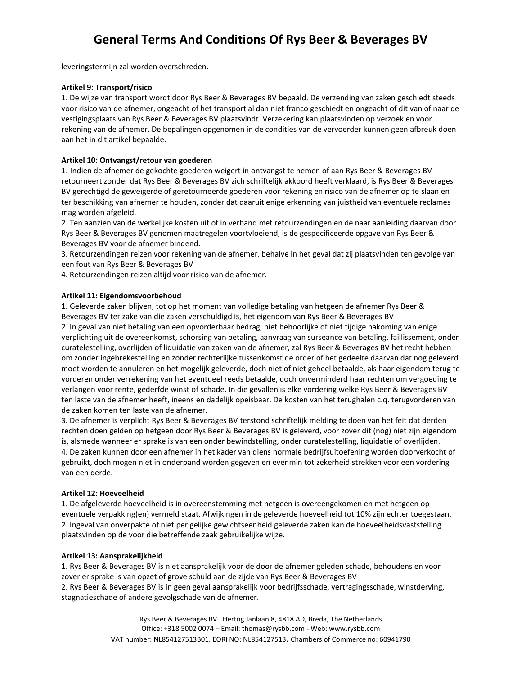leveringstermijn zal worden overschreden.

## **Artikel 9: Transport/risico**

1. De wijze van transport wordt door Rys Beer & Beverages BV bepaald. De verzending van zaken geschiedt steeds voor risico van de afnemer, ongeacht of het transport al dan niet franco geschiedt en ongeacht of dit van of naar de vestigingsplaats van Rys Beer & Beverages BV plaatsvindt. Verzekering kan plaatsvinden op verzoek en voor rekening van de afnemer. De bepalingen opgenomen in de condities van de vervoerder kunnen geen afbreuk doen aan het in dit artikel bepaalde.

### **Artikel 10: Ontvangst/retour van goederen**

1. Indien de afnemer de gekochte goederen weigert in ontvangst te nemen of aan Rys Beer & Beverages BV retourneert zonder dat Rys Beer & Beverages BV zich schriftelijk akkoord heeft verklaard, is Rys Beer & Beverages BV gerechtigd de geweigerde of geretourneerde goederen voor rekening en risico van de afnemer op te slaan en ter beschikking van afnemer te houden, zonder dat daaruit enige erkenning van juistheid van eventuele reclames mag worden afgeleid.

2. Ten aanzien van de werkelijke kosten uit of in verband met retourzendingen en de naar aanleiding daarvan door Rys Beer & Beverages BV genomen maatregelen voortvloeiend, is de gespecificeerde opgave van Rys Beer & Beverages BV voor de afnemer bindend.

3. Retourzendingen reizen voor rekening van de afnemer, behalve in het geval dat zij plaatsvinden ten gevolge van een fout van Rys Beer & Beverages BV

4. Retourzendingen reizen altijd voor risico van de afnemer.

### **Artikel 11: Eigendomsvoorbehoud**

1. Geleverde zaken blijven, tot op het moment van volledige betaling van hetgeen de afnemer Rys Beer & Beverages BV ter zake van die zaken verschuldigd is, het eigendom van Rys Beer & Beverages BV

2. In geval van niet betaling van een opvorderbaar bedrag, niet behoorlijke of niet tijdige nakoming van enige verplichting uit de overeenkomst, schorsing van betaling, aanvraag van surseance van betaling, faillissement, onder curatelestelling, overlijden of liquidatie van zaken van de afnemer, zal Rys Beer & Beverages BV het recht hebben om zonder ingebrekestelling en zonder rechterlijke tussenkomst de order of het gedeelte daarvan dat nog geleverd moet worden te annuleren en het mogelijk geleverde, doch niet of niet geheel betaalde, als haar eigendom terug te vorderen onder verrekening van het eventueel reeds betaalde, doch onverminderd haar rechten om vergoeding te verlangen voor rente, gederfde winst of schade. In die gevallen is elke vordering welke Rys Beer & Beverages BV ten laste van de afnemer heeft, ineens en dadelijk opeisbaar. De kosten van het terughalen c.q. terugvorderen van de zaken komen ten laste van de afnemer.

3. De afnemer is verplicht Rys Beer & Beverages BV terstond schriftelijk melding te doen van het feit dat derden rechten doen gelden op hetgeen door Rys Beer & Beverages BV is geleverd, voor zover dit (nog) niet zijn eigendom is, alsmede wanneer er sprake is van een onder bewindstelling, onder curatelestelling, liquidatie of overlijden. 4. De zaken kunnen door een afnemer in het kader van diens normale bedrijfsuitoefening worden doorverkocht of gebruikt, doch mogen niet in onderpand worden gegeven en evenmin tot zekerheid strekken voor een vordering van een derde.

#### **Artikel 12: Hoeveelheid**

1. De afgeleverde hoeveelheid is in overeenstemming met hetgeen is overeengekomen en met hetgeen op eventuele verpakking(en) vermeld staat. Afwijkingen in de geleverde hoeveelheid tot 10% zijn echter toegestaan. 2. Ingeval van onverpakte of niet per gelijke gewichtseenheid geleverde zaken kan de hoeveelheidsvaststelling plaatsvinden op de voor die betreffende zaak gebruikelijke wijze.

## **Artikel 13: Aansprakelijkheid**

1. Rys Beer & Beverages BV is niet aansprakelijk voor de door de afnemer geleden schade, behoudens en voor zover er sprake is van opzet of grove schuld aan de zijde van Rys Beer & Beverages BV 2. Rys Beer & Beverages BV is in geen geval aansprakelijk voor bedrijfsschade, vertragingsschade, winstderving, stagnatieschade of andere gevolgschade van de afnemer.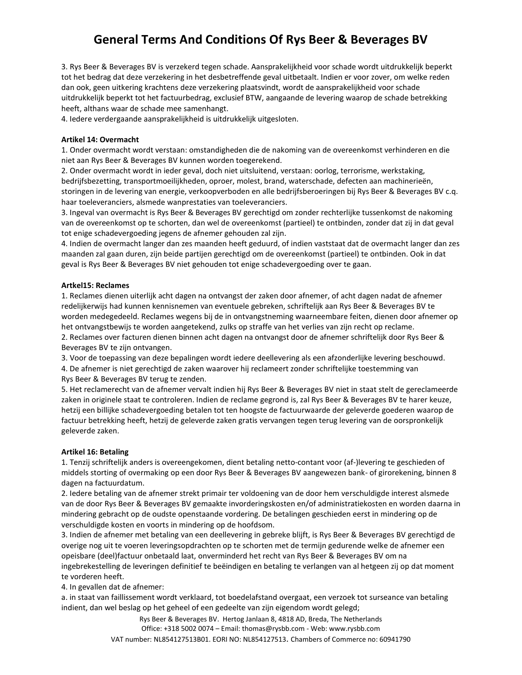3. Rys Beer & Beverages BV is verzekerd tegen schade. Aansprakelijkheid voor schade wordt uitdrukkelijk beperkt tot het bedrag dat deze verzekering in het desbetreffende geval uitbetaalt. Indien er voor zover, om welke reden dan ook, geen uitkering krachtens deze verzekering plaatsvindt, wordt de aansprakelijkheid voor schade uitdrukkelijk beperkt tot het factuurbedrag, exclusief BTW, aangaande de levering waarop de schade betrekking heeft, althans waar de schade mee samenhangt.

4. Iedere verdergaande aansprakelijkheid is uitdrukkelijk uitgesloten.

### **Artikel 14: Overmacht**

1. Onder overmacht wordt verstaan: omstandigheden die de nakoming van de overeenkomst verhinderen en die niet aan Rys Beer & Beverages BV kunnen worden toegerekend.

2. Onder overmacht wordt in ieder geval, doch niet uitsluitend, verstaan: oorlog, terrorisme, werkstaking, bedrijfsbezetting, transportmoeilijkheden, oproer, molest, brand, waterschade, defecten aan machinerieën, storingen in de levering van energie, verkoopverboden en alle bedrijfsberoeringen bij Rys Beer & Beverages BV c.q. haar toeleveranciers, alsmede wanprestaties van toeleveranciers.

3. Ingeval van overmacht is Rys Beer & Beverages BV gerechtigd om zonder rechterlijke tussenkomst de nakoming van de overeenkomst op te schorten, dan wel de overeenkomst (partieel) te ontbinden, zonder dat zij in dat geval tot enige schadevergoeding jegens de afnemer gehouden zal zijn.

4. Indien de overmacht langer dan zes maanden heeft geduurd, of indien vaststaat dat de overmacht langer dan zes maanden zal gaan duren, zijn beide partijen gerechtigd om de overeenkomst (partieel) te ontbinden. Ook in dat geval is Rys Beer & Beverages BV niet gehouden tot enige schadevergoeding over te gaan.

### **Artkel15: Reclames**

1. Reclames dienen uiterlijk acht dagen na ontvangst der zaken door afnemer, of acht dagen nadat de afnemer redelijkerwijs had kunnen kennisnemen van eventuele gebreken, schriftelijk aan Rys Beer & Beverages BV te worden medegedeeld. Reclames wegens bij de in ontvangstneming waarneembare feiten, dienen door afnemer op het ontvangstbewijs te worden aangetekend, zulks op straffe van het verlies van zijn recht op reclame. 2. Reclames over facturen dienen binnen acht dagen na ontvangst door de afnemer schriftelijk door Rys Beer & Beverages BV te zijn ontvangen.

3. Voor de toepassing van deze bepalingen wordt iedere deellevering als een afzonderlijke levering beschouwd. 4. De afnemer is niet gerechtigd de zaken waarover hij reclameert zonder schriftelijke toestemming van Rys Beer & Beverages BV terug te zenden.

5. Het reclamerecht van de afnemer vervalt indien hij Rys Beer & Beverages BV niet in staat stelt de gereclameerde zaken in originele staat te controleren. Indien de reclame gegrond is, zal Rys Beer & Beverages BV te harer keuze, hetzij een billijke schadevergoeding betalen tot ten hoogste de factuurwaarde der geleverde goederen waarop de factuur betrekking heeft, hetzij de geleverde zaken gratis vervangen tegen terug levering van de oorspronkelijk geleverde zaken.

#### **Artikel 16: Betaling**

1. Tenzij schriftelijk anders is overeengekomen, dient betaling netto-contant voor (af-)levering te geschieden of middels storting of overmaking op een door Rys Beer & Beverages BV aangewezen bank- of girorekening, binnen 8 dagen na factuurdatum.

2. Iedere betaling van de afnemer strekt primair ter voldoening van de door hem verschuldigde interest alsmede van de door Rys Beer & Beverages BV gemaakte invorderingskosten en/of administratiekosten en worden daarna in mindering gebracht op de oudste openstaande vordering. De betalingen geschieden eerst in mindering op de verschuldigde kosten en voorts in mindering op de hoofdsom.

3. Indien de afnemer met betaling van een deellevering in gebreke blijft, is Rys Beer & Beverages BV gerechtigd de overige nog uit te voeren leveringsopdrachten op te schorten met de termijn gedurende welke de afnemer een opeisbare (deel)factuur onbetaald laat, onverminderd het recht van Rys Beer & Beverages BV om na ingebrekestelling de leveringen definitief te beëindigen en betaling te verlangen van al hetgeen zij op dat moment te vorderen heeft.

4. In gevallen dat de afnemer:

a. in staat van faillissement wordt verklaard, tot boedelafstand overgaat, een verzoek tot surseance van betaling indient, dan wel beslag op het geheel of een gedeelte van zijn eigendom wordt gelegd;